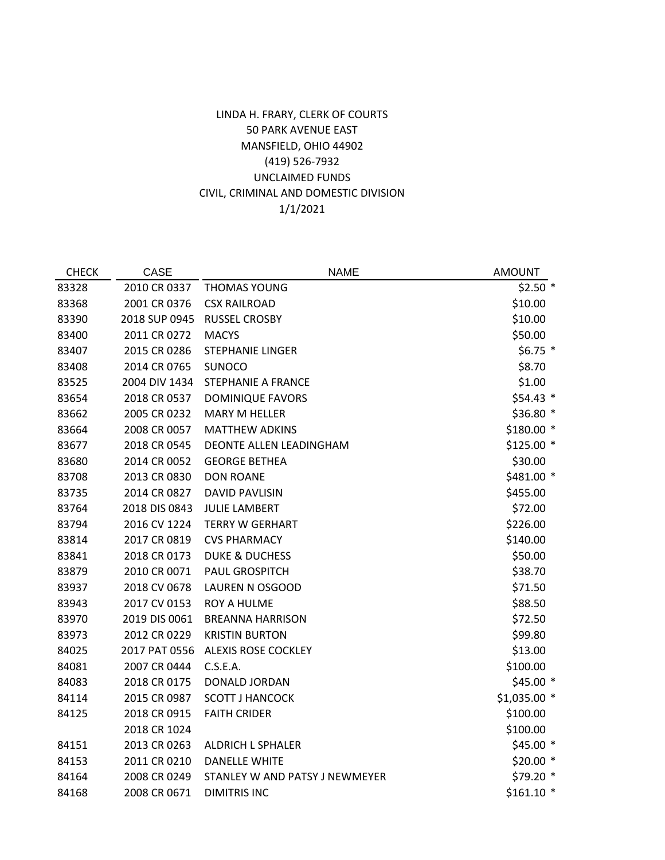## 1/1/2021 LINDA H. FRARY, CLERK OF COURTS 50 PARK AVENUE EAST MANSFIELD, OHIO 44902 (419) 526-7932 UNCLAIMED FUNDS CIVIL, CRIMINAL AND DOMESTIC DIVISION

| <b>CHECK</b> | <b>CASE</b>   | <b>NAME</b>                    | <b>AMOUNT</b> |
|--------------|---------------|--------------------------------|---------------|
| 83328        | 2010 CR 0337  | THOMAS YOUNG                   | $$2.50*$      |
| 83368        | 2001 CR 0376  | <b>CSX RAILROAD</b>            | \$10.00       |
| 83390        | 2018 SUP 0945 | <b>RUSSEL CROSBY</b>           | \$10.00       |
| 83400        | 2011 CR 0272  | <b>MACYS</b>                   | \$50.00       |
| 83407        | 2015 CR 0286  | STEPHANIE LINGER               | $$6.75$ *     |
| 83408        | 2014 CR 0765  | <b>SUNOCO</b>                  | \$8.70        |
| 83525        | 2004 DIV 1434 | <b>STEPHANIE A FRANCE</b>      | \$1.00        |
| 83654        | 2018 CR 0537  | <b>DOMINIQUE FAVORS</b>        | $$54.43$ *    |
| 83662        | 2005 CR 0232  | <b>MARY M HELLER</b>           | \$36.80 *     |
| 83664        | 2008 CR 0057  | <b>MATTHEW ADKINS</b>          | \$180.00 *    |
| 83677        | 2018 CR 0545  | DEONTE ALLEN LEADINGHAM        | \$125.00 *    |
| 83680        | 2014 CR 0052  | <b>GEORGE BETHEA</b>           | \$30.00       |
| 83708        | 2013 CR 0830  | <b>DON ROANE</b>               | \$481.00 *    |
| 83735        | 2014 CR 0827  | <b>DAVID PAVLISIN</b>          | \$455.00      |
| 83764        | 2018 DIS 0843 | <b>JULIE LAMBERT</b>           | \$72.00       |
| 83794        | 2016 CV 1224  | <b>TERRY W GERHART</b>         | \$226.00      |
| 83814        | 2017 CR 0819  | <b>CVS PHARMACY</b>            | \$140.00      |
| 83841        | 2018 CR 0173  | <b>DUKE &amp; DUCHESS</b>      | \$50.00       |
| 83879        | 2010 CR 0071  | <b>PAUL GROSPITCH</b>          | \$38.70       |
| 83937        | 2018 CV 0678  | LAUREN N OSGOOD                | \$71.50       |
| 83943        | 2017 CV 0153  | <b>ROY A HULME</b>             | \$88.50       |
| 83970        | 2019 DIS 0061 | <b>BREANNA HARRISON</b>        | \$72.50       |
| 83973        | 2012 CR 0229  | <b>KRISTIN BURTON</b>          | \$99.80       |
| 84025        | 2017 PAT 0556 | <b>ALEXIS ROSE COCKLEY</b>     | \$13.00       |
| 84081        | 2007 CR 0444  | C.S.E.A.                       | \$100.00      |
| 84083        | 2018 CR 0175  | DONALD JORDAN                  | $$45.00*$     |
| 84114        | 2015 CR 0987  | <b>SCOTT J HANCOCK</b>         | \$1,035.00 *  |
| 84125        | 2018 CR 0915  | <b>FAITH CRIDER</b>            | \$100.00      |
|              | 2018 CR 1024  |                                | \$100.00      |
| 84151        | 2013 CR 0263  | <b>ALDRICH L SPHALER</b>       | $$45.00*$     |
| 84153        | 2011 CR 0210  | <b>DANELLE WHITE</b>           | $$20.00*$     |
| 84164        | 2008 CR 0249  | STANLEY W AND PATSY J NEWMEYER | \$79.20 *     |
| 84168        | 2008 CR 0671  | <b>DIMITRIS INC</b>            | $$161.10$ *   |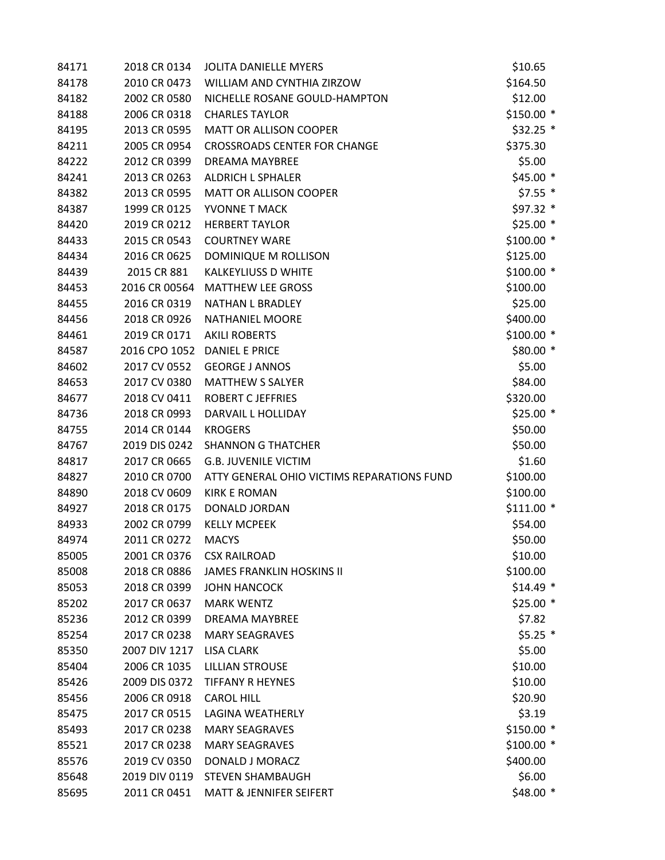| 84171 | 2018 CR 0134  | <b>JOLITA DANIELLE MYERS</b>               | \$10.65     |
|-------|---------------|--------------------------------------------|-------------|
| 84178 | 2010 CR 0473  | WILLIAM AND CYNTHIA ZIRZOW                 | \$164.50    |
| 84182 | 2002 CR 0580  | NICHELLE ROSANE GOULD-HAMPTON              | \$12.00     |
| 84188 | 2006 CR 0318  | <b>CHARLES TAYLOR</b>                      | $$150.00*$  |
| 84195 | 2013 CR 0595  | <b>MATT OR ALLISON COOPER</b>              | \$32.25 *   |
| 84211 | 2005 CR 0954  | <b>CROSSROADS CENTER FOR CHANGE</b>        | \$375.30    |
| 84222 | 2012 CR 0399  | DREAMA MAYBREE                             | \$5.00      |
| 84241 | 2013 CR 0263  | <b>ALDRICH L SPHALER</b>                   | \$45.00 *   |
| 84382 | 2013 CR 0595  | <b>MATT OR ALLISON COOPER</b>              | $$7.55$ *   |
| 84387 | 1999 CR 0125  | YVONNE T MACK                              | \$97.32 *   |
| 84420 | 2019 CR 0212  | <b>HERBERT TAYLOR</b>                      | \$25.00 *   |
| 84433 | 2015 CR 0543  | <b>COURTNEY WARE</b>                       | $$100.00*$  |
| 84434 | 2016 CR 0625  | DOMINIQUE M ROLLISON                       | \$125.00    |
| 84439 | 2015 CR 881   | <b>KALKEYLIUSS D WHITE</b>                 | $$100.00*$  |
| 84453 | 2016 CR 00564 | <b>MATTHEW LEE GROSS</b>                   | \$100.00    |
| 84455 | 2016 CR 0319  | <b>NATHAN L BRADLEY</b>                    | \$25.00     |
| 84456 | 2018 CR 0926  | <b>NATHANIEL MOORE</b>                     | \$400.00    |
| 84461 | 2019 CR 0171  | <b>AKILI ROBERTS</b>                       | \$100.00 *  |
| 84587 | 2016 CPO 1052 | <b>DANIEL E PRICE</b>                      | \$80.00 *   |
| 84602 | 2017 CV 0552  | <b>GEORGE J ANNOS</b>                      | \$5.00      |
| 84653 | 2017 CV 0380  | <b>MATTHEW S SALYER</b>                    | \$84.00     |
| 84677 | 2018 CV 0411  | <b>ROBERT C JEFFRIES</b>                   | \$320.00    |
| 84736 | 2018 CR 0993  | DARVAIL L HOLLIDAY                         | $$25.00*$   |
| 84755 | 2014 CR 0144  | <b>KROGERS</b>                             | \$50.00     |
| 84767 | 2019 DIS 0242 | <b>SHANNON G THATCHER</b>                  | \$50.00     |
| 84817 | 2017 CR 0665  | <b>G.B. JUVENILE VICTIM</b>                | \$1.60      |
| 84827 | 2010 CR 0700  | ATTY GENERAL OHIO VICTIMS REPARATIONS FUND | \$100.00    |
| 84890 | 2018 CV 0609  | <b>KIRK E ROMAN</b>                        | \$100.00    |
| 84927 | 2018 CR 0175  | DONALD JORDAN                              | $$111.00$ * |
| 84933 | 2002 CR 0799  | <b>KELLY MCPEEK</b>                        | \$54.00     |
| 84974 | 2011 CR 0272  | <b>MACYS</b>                               | \$50.00     |
| 85005 | 2001 CR 0376  | <b>CSX RAILROAD</b>                        | \$10.00     |
| 85008 | 2018 CR 0886  | <b>JAMES FRANKLIN HOSKINS II</b>           | \$100.00    |
| 85053 | 2018 CR 0399  | <b>JOHN HANCOCK</b>                        | $$14.49$ *  |
| 85202 | 2017 CR 0637  | <b>MARK WENTZ</b>                          | $$25.00*$   |
| 85236 | 2012 CR 0399  | <b>DREAMA MAYBREE</b>                      | \$7.82      |
| 85254 | 2017 CR 0238  | <b>MARY SEAGRAVES</b>                      | $$5.25$ *   |
| 85350 | 2007 DIV 1217 | <b>LISA CLARK</b>                          | \$5.00      |
| 85404 | 2006 CR 1035  | <b>LILLIAN STROUSE</b>                     | \$10.00     |
| 85426 | 2009 DIS 0372 | <b>TIFFANY R HEYNES</b>                    | \$10.00     |
| 85456 | 2006 CR 0918  | <b>CAROL HILL</b>                          | \$20.90     |
| 85475 | 2017 CR 0515  | <b>LAGINA WEATHERLY</b>                    | \$3.19      |
| 85493 | 2017 CR 0238  | <b>MARY SEAGRAVES</b>                      | \$150.00 *  |
| 85521 | 2017 CR 0238  | <b>MARY SEAGRAVES</b>                      | $$100.00*$  |
| 85576 | 2019 CV 0350  | DONALD J MORACZ                            | \$400.00    |
| 85648 | 2019 DIV 0119 | <b>STEVEN SHAMBAUGH</b>                    | \$6.00      |
| 85695 | 2011 CR 0451  | <b>MATT &amp; JENNIFER SEIFERT</b>         | $$48.00*$   |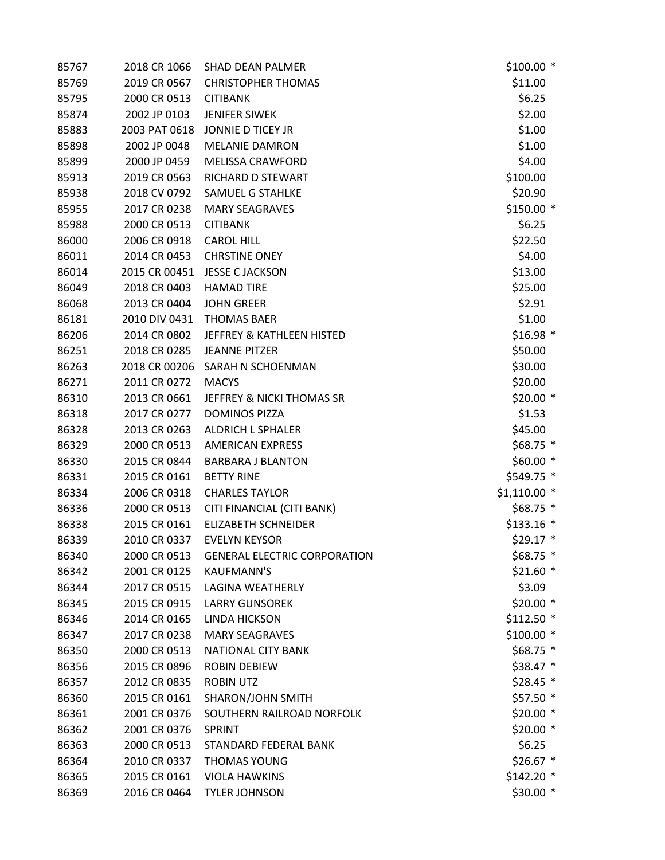| 85767 | 2018 CR 1066  | <b>SHAD DEAN PALMER</b>              | $$100.00*$    |
|-------|---------------|--------------------------------------|---------------|
| 85769 | 2019 CR 0567  | <b>CHRISTOPHER THOMAS</b>            | \$11.00       |
| 85795 | 2000 CR 0513  | <b>CITIBANK</b>                      | \$6.25        |
| 85874 | 2002 JP 0103  | <b>JENIFER SIWEK</b>                 | \$2.00        |
| 85883 | 2003 PAT 0618 | <b>JONNIE D TICEY JR</b>             | \$1.00        |
| 85898 | 2002 JP 0048  | <b>MELANIE DAMRON</b>                | \$1.00        |
| 85899 | 2000 JP 0459  | <b>MELISSA CRAWFORD</b>              | \$4.00        |
| 85913 | 2019 CR 0563  | RICHARD D STEWART                    | \$100.00      |
| 85938 | 2018 CV 0792  | SAMUEL G STAHLKE                     | \$20.90       |
| 85955 | 2017 CR 0238  | <b>MARY SEAGRAVES</b>                | $$150.00*$    |
| 85988 | 2000 CR 0513  | <b>CITIBANK</b>                      | \$6.25        |
| 86000 | 2006 CR 0918  | <b>CAROL HILL</b>                    | \$22.50       |
| 86011 | 2014 CR 0453  | <b>CHRSTINE ONEY</b>                 | \$4.00        |
| 86014 | 2015 CR 00451 | <b>JESSE C JACKSON</b>               | \$13.00       |
| 86049 | 2018 CR 0403  | <b>HAMAD TIRE</b>                    | \$25.00       |
| 86068 | 2013 CR 0404  | <b>JOHN GREER</b>                    | \$2.91        |
| 86181 | 2010 DIV 0431 | <b>THOMAS BAER</b>                   | \$1.00        |
| 86206 | 2014 CR 0802  | <b>JEFFREY &amp; KATHLEEN HISTED</b> | $$16.98$ *    |
| 86251 | 2018 CR 0285  | <b>JEANNE PITZER</b>                 | \$50.00       |
| 86263 | 2018 CR 00206 | SARAH N SCHOENMAN                    | \$30.00       |
| 86271 | 2011 CR 0272  | <b>MACYS</b>                         | \$20.00       |
| 86310 | 2013 CR 0661  | <b>JEFFREY &amp; NICKI THOMAS SR</b> | $$20.00*$     |
| 86318 | 2017 CR 0277  | <b>DOMINOS PIZZA</b>                 | \$1.53        |
| 86328 | 2013 CR 0263  | ALDRICH L SPHALER                    | \$45.00       |
| 86329 | 2000 CR 0513  | <b>AMERICAN EXPRESS</b>              | $$68.75$ *    |
| 86330 | 2015 CR 0844  | <b>BARBARA J BLANTON</b>             | $$60.00*$     |
| 86331 | 2015 CR 0161  | <b>BETTY RINE</b>                    | \$549.75 *    |
| 86334 | 2006 CR 0318  | <b>CHARLES TAYLOR</b>                | $$1,110.00$ * |
| 86336 | 2000 CR 0513  | CITI FINANCIAL (CITI BANK)           | $$68.75$ *    |
| 86338 | 2015 CR 0161  | <b>ELIZABETH SCHNEIDER</b>           | $$133.16$ *   |
| 86339 | 2010 CR 0337  | <b>EVELYN KEYSOR</b>                 | $$29.17$ *    |
| 86340 | 2000 CR 0513  | <b>GENERAL ELECTRIC CORPORATION</b>  | \$68.75 *     |
| 86342 | 2001 CR 0125  | <b>KAUFMANN'S</b>                    | $$21.60*$     |
| 86344 | 2017 CR 0515  | LAGINA WEATHERLY                     | \$3.09        |
| 86345 | 2015 CR 0915  | <b>LARRY GUNSOREK</b>                | $$20.00*$     |
| 86346 | 2014 CR 0165  | LINDA HICKSON                        | $$112.50$ *   |
| 86347 | 2017 CR 0238  | <b>MARY SEAGRAVES</b>                | $$100.00*$    |
| 86350 | 2000 CR 0513  | NATIONAL CITY BANK                   | $$68.75$ *    |
| 86356 | 2015 CR 0896  | <b>ROBIN DEBIEW</b>                  | $$38.47$ *    |
| 86357 | 2012 CR 0835  | <b>ROBIN UTZ</b>                     | \$28.45 *     |
| 86360 | 2015 CR 0161  | SHARON/JOHN SMITH                    | $$57.50$ *    |
| 86361 | 2001 CR 0376  | SOUTHERN RAILROAD NORFOLK            | $$20.00*$     |
| 86362 | 2001 CR 0376  | <b>SPRINT</b>                        | $$20.00*$     |
| 86363 | 2000 CR 0513  | STANDARD FEDERAL BANK                | \$6.25        |
| 86364 | 2010 CR 0337  | <b>THOMAS YOUNG</b>                  | $$26.67$ *    |
| 86365 | 2015 CR 0161  | <b>VIOLA HAWKINS</b>                 | $$142.20$ *   |
| 86369 | 2016 CR 0464  | <b>TYLER JOHNSON</b>                 | $$30.00*$     |